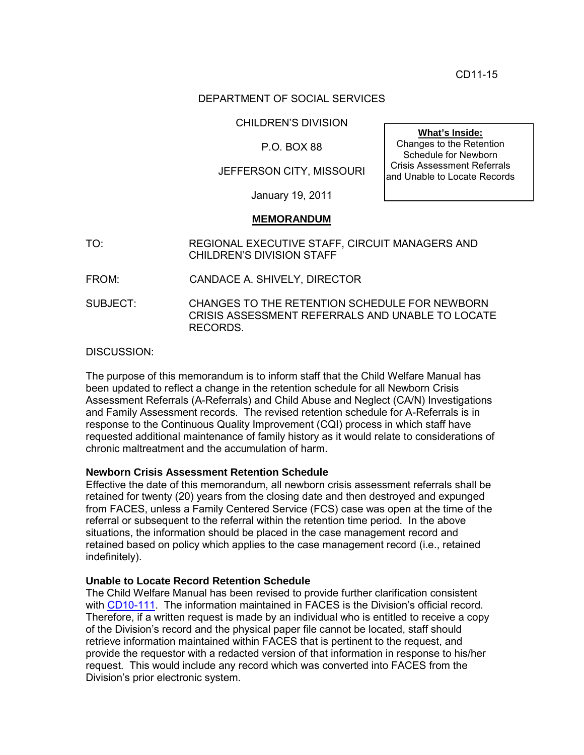CD11-15

### DEPARTMENT OF SOCIAL SERVICES

CHILDREN'S DIVISION

# P.O. BOX 88

# JEFFERSON CITY, MISSOURI

January 19, 2011

#### **MEMORANDUM**

- TO: REGIONAL EXECUTIVE STAFF, CIRCUIT MANAGERS AND CHILDREN'S DIVISION STAFF
- FROM: CANDACE A. SHIVELY, DIRECTOR

SUBJECT: CHANGES TO THE RETENTION SCHEDULE FOR NEWBORN CRISIS ASSESSMENT REFERRALS AND UNABLE TO LOCATE RECORDS.

DISCUSSION:

The purpose of this memorandum is to inform staff that the Child Welfare Manual has been updated to reflect a change in the retention schedule for all Newborn Crisis Assessment Referrals (A-Referrals) and Child Abuse and Neglect (CA/N) Investigations and Family Assessment records. The revised retention schedule for A-Referrals is in response to the Continuous Quality Improvement (CQI) process in which staff have requested additional maintenance of family history as it would relate to considerations of chronic maltreatment and the accumulation of harm.

### **Newborn Crisis Assessment Retention Schedule**

Effective the date of this memorandum, all newborn crisis assessment referrals shall be retained for twenty (20) years from the closing date and then destroyed and expunged from FACES, unless a Family Centered Service (FCS) case was open at the time of the referral or subsequent to the referral within the retention time period. In the above situations, the information should be placed in the case management record and retained based on policy which applies to the case management record (i.e., retained indefinitely).

#### **Unable to Locate Record Retention Schedule**

The Child Welfare Manual has been revised to provide further clarification consistent with [CD10-111.](http://www.dss.mo.gov/cd/info/memos/2010/cd10-111.pdf) The information maintained in FACES is the Division's official record. Therefore, if a written request is made by an individual who is entitled to receive a copy of the Division's record and the physical paper file cannot be located, staff should retrieve information maintained within FACES that is pertinent to the request, and provide the requestor with a redacted version of that information in response to his/her request. This would include any record which was converted into FACES from the Division's prior electronic system.

**What's Inside:**

Changes to the Retention Schedule for Newborn Crisis Assessment Referrals and Unable to Locate Records